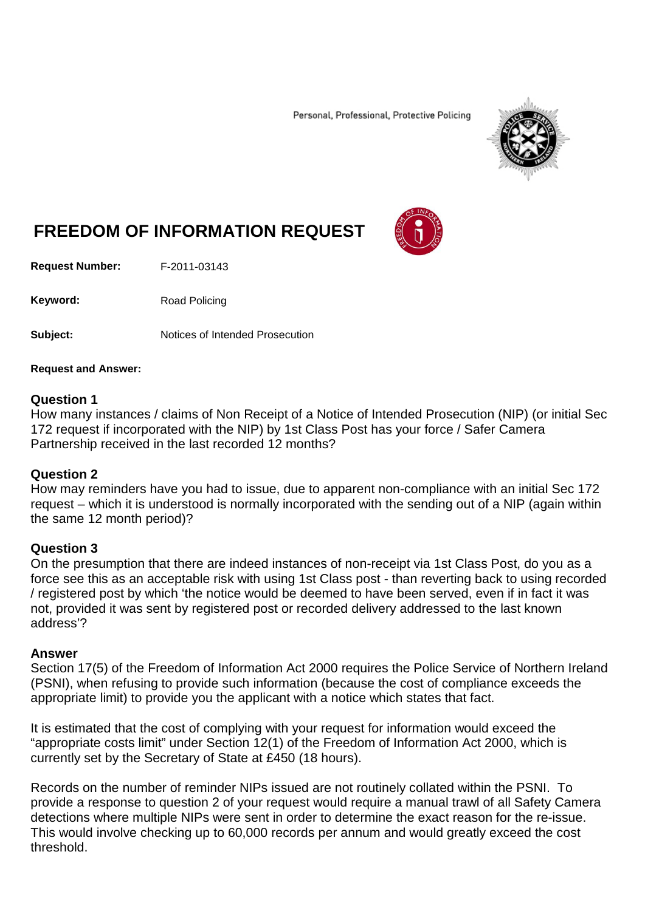Personal, Professional, Protective Policing



# **FREEDOM OF INFORMATION REQUEST**

**Request Number:** F-2011-03143

Keyword: Road Policing

**Subject:** Notices of Intended Prosecution

#### **Request and Answer:**

### **Question 1**

How many instances / claims of Non Receipt of a Notice of Intended Prosecution (NIP) (or initial Sec 172 request if incorporated with the NIP) by 1st Class Post has your force / Safer Camera Partnership received in the last recorded 12 months?

### **Question 2**

How may reminders have you had to issue, due to apparent non-compliance with an initial Sec 172 request – which it is understood is normally incorporated with the sending out of a NIP (again within the same 12 month period)?

## **Question 3**

On the presumption that there are indeed instances of non-receipt via 1st Class Post, do you as a force see this as an acceptable risk with using 1st Class post - than reverting back to using recorded / registered post by which 'the notice would be deemed to have been served, even if in fact it was not, provided it was sent by registered post or recorded delivery addressed to the last known address'?

### **Answer**

Section 17(5) of the Freedom of Information Act 2000 requires the Police Service of Northern Ireland (PSNI), when refusing to provide such information (because the cost of compliance exceeds the appropriate limit) to provide you the applicant with a notice which states that fact.

It is estimated that the cost of complying with your request for information would exceed the "appropriate costs limit" under Section 12(1) of the Freedom of Information Act 2000, which is currently set by the Secretary of State at £450 (18 hours).

Records on the number of reminder NIPs issued are not routinely collated within the PSNI. To provide a response to question 2 of your request would require a manual trawl of all Safety Camera detections where multiple NIPs were sent in order to determine the exact reason for the re-issue. This would involve checking up to 60,000 records per annum and would greatly exceed the cost threshold.